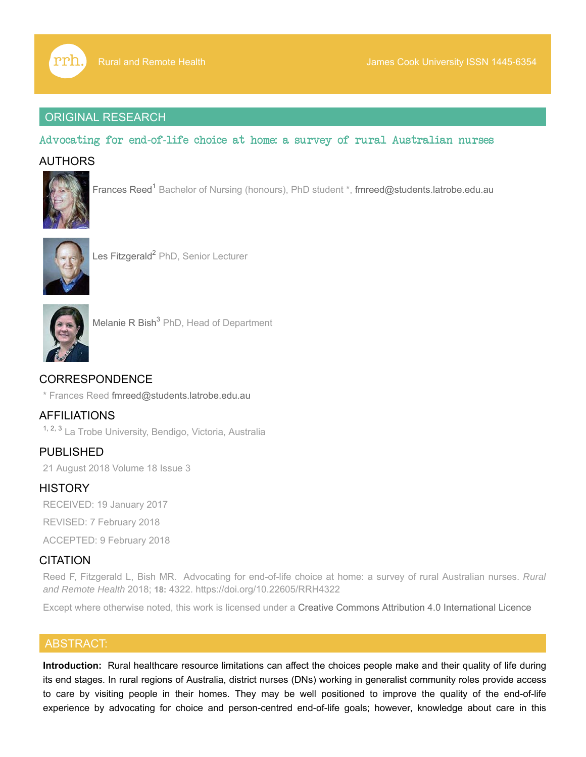

## ORIGINAL RESEARCH

## Advocating for end-of-life choice at home: a survey of rural Australian nurses

## **AUTHORS**



Frances Reed<sup>1</sup> Bachelor of Nursing (honours), PhD student \*, fmreed@students.latrobe.edu.au



Les Fitzgerald<sup>2</sup> PhD, Senior Lecturer



Melanie R Bish<sup>3</sup> PhD, Head of Department

# CORRESPONDENCE

\* Frances Reed fmreed@students.latrobe.edu.au

AFFILIATIONS <sup>1, 2, 3</sup> La Trobe University, Bendigo, Victoria, Australia

PUBLISHED 21 August 2018 Volume 18 Issue 3

## **HISTORY**

RECEIVED: 19 January 2017

REVISED: 7 February 2018

ACCEPTED: 9 February 2018

## **CITATION**

Reed F, Fitzgerald L, Bish MR. Advocating for end-of-life choice at home: a survey of rural Australian nurses. *Rural and Remote Health* 2018; **18:** 4322. https://doi.org/10.22605/RRH4322

Except where otherwise noted, this work is licensed under a Creative Commons Attribution 4.0 International Licence

## ABSTRACT:

**Introduction:** Rural healthcare resource limitations can affect the choices people make and their quality of life during its end stages. In rural regions of Australia, district nurses (DNs) working in generalist community roles provide access to care by visiting people in their homes. They may be well positioned to improve the quality of the end-of-life experience by advocating for choice and person-centred end-of-life goals; however, knowledge about care in this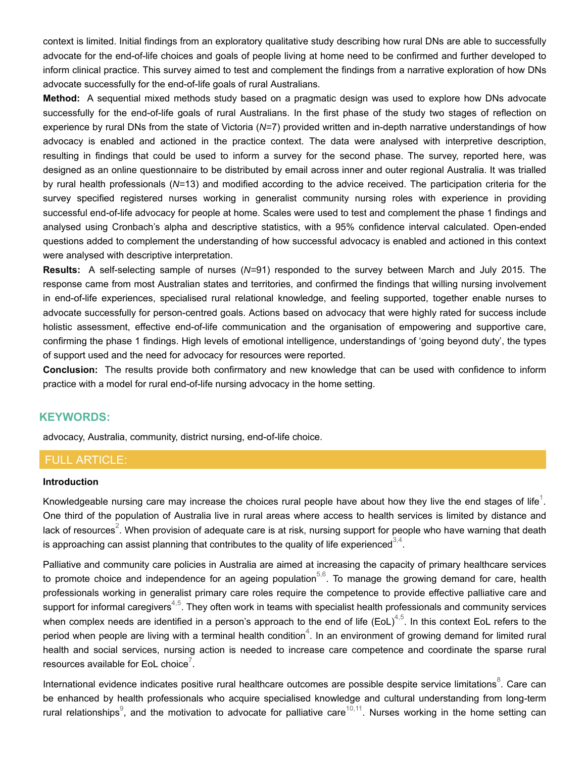context is limited. Initial findings from an exploratory qualitative study describing how rural DNs are able to successfully advocate for the end-of-life choices and goals of people living at home need to be confirmed and further developed to inform clinical practice. This survey aimed to test and complement the findings from a narrative exploration of how DNs advocate successfully for the end-of-life goals of rural Australians.

**Method:** A sequential mixed methods study based on a pragmatic design was used to explore how DNs advocate successfully for the end-of-life goals of rural Australians. In the first phase of the study two stages of reflection on experience by rural DNs from the state of Victoria (*N=*7) provided written and in-depth narrative understandings of how advocacy is enabled and actioned in the practice context. The data were analysed with interpretive description, resulting in findings that could be used to inform a survey for the second phase. The survey, reported here, was designed as an online questionnaire to be distributed by email across inner and outer regional Australia. It was trialled by rural health professionals (*N=*13) and modified according to the advice received. The participation criteria for the survey specified registered nurses working in generalist community nursing roles with experience in providing successful end-of-life advocacy for people at home. Scales were used to test and complement the phase 1 findings and analysed using Cronbach's alpha and descriptive statistics, with a 95% confidence interval calculated. Open-ended questions added to complement the understanding of how successful advocacy is enabled and actioned in this context were analysed with descriptive interpretation.

**Results:** A self-selecting sample of nurses (*N=*91) responded to the survey between March and July 2015. The response came from most Australian states and territories, and confirmed the findings that willing nursing involvement in end-of-life experiences, specialised rural relational knowledge, and feeling supported, together enable nurses to advocate successfully for person-centred goals. Actions based on advocacy that were highly rated for success include holistic assessment, effective end-of-life communication and the organisation of empowering and supportive care, confirming the phase 1 findings. High levels of emotional intelligence, understandings of 'going beyond duty', the types of support used and the need for advocacy for resources were reported.

**Conclusion:** The results provide both confirmatory and new knowledge that can be used with confidence to inform practice with a model for rural end-of-life nursing advocacy in the home setting.

## **KEYWORDS:**

advocacy, Australia, community, district nursing, end-of-life choice.

## FULL ARTICLE:

#### **Introduction**

Knowledgeable nursing care may increase the choices rural people have about how they live the end stages of life<sup>1</sup>. One third of the population of Australia live in rural areas where access to health services is limited by distance and lack of resources $^2$ . When provision of adequate care is at risk, nursing support for people who have warning that death is approaching can assist planning that contributes to the quality of life experienced $^{\scriptscriptstyle 3,4}.$ 

Palliative and community care policies in Australia are aimed at increasing the capacity of primary healthcare services to promote choice and independence for an ageing population $^{5,6}$ . To manage the growing demand for care, health professionals working in generalist primary care roles require the competence to provide effective palliative care and support for informal caregivers $^{4,5}$ . They often work in teams with specialist health professionals and community services when complex needs are identified in a person's approach to the end of life (EoL) $^{4,5}$ . In this context EoL refers to the period when people are living with a terminal health condition $^4$ . In an environment of growing demand for limited rural health and social services, nursing action is needed to increase care competence and coordinate the sparse rural resources available for EoL choice $^7$ .

International evidence indicates positive rural healthcare outcomes are possible despite service limitations $^8$ . Care can be enhanced by health professionals who acquire specialised knowledge and cultural understanding from long-term rural relationships $^\circ$ , and the motivation to advocate for palliative care $^{10,11}$ . Nurses working in the home setting can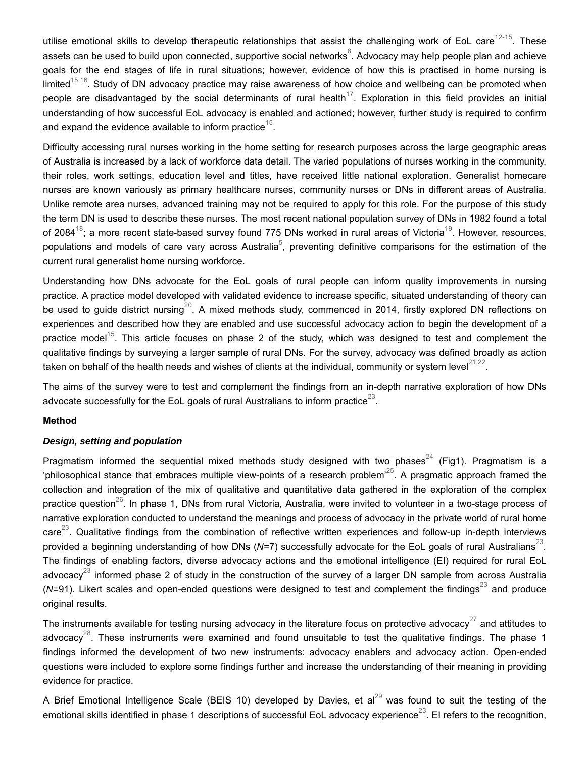utilise emotional skills to develop therapeutic relationships that assist the challenging work of EoL care $^{12\text{-}15}$ . These assets can be used to build upon connected, supportive social networks $^8$ . Advocacy may help people plan and achieve goals for the end stages of life in rural situations; however, evidence of how this is practised in home nursing is limited $^{15,16}$ . Study of DN advocacy practice may raise awareness of how choice and wellbeing can be promoted when people are disadvantaged by the social determinants of rural health $^{17}$ . Exploration in this field provides an initial understanding of how successful EoL advocacy is enabled and actioned; however, further study is required to confirm and expand the evidence available to inform practice $^{\rm 15}.$ 

Difficulty accessing rural nurses working in the home setting for research purposes across the large geographic areas of Australia is increased by a lack of workforce data detail. The varied populations of nurses working in the community, their roles, work settings, education level and titles, have received little national exploration. Generalist homecare nurses are known variously as primary healthcare nurses, community nurses or DNs in different areas of Australia. Unlike remote area nurses, advanced training may not be required to apply for this role. For the purpose of this study the term DN is used to describe these nurses. The most recent national population survey of DNs in 1982 found a total of 2084 $^{18}$ ; a more recent state-based survey found 775 DNs worked in rural areas of Victoria $^{19}$ . However, resources, populations and models of care vary across Australia $^5\!$ , preventing definitive comparisons for the estimation of the current rural generalist home nursing workforce.

Understanding how DNs advocate for the EoL goals of rural people can inform quality improvements in nursing practice. A practice model developed with validated evidence to increase specific, situated understanding of theory can be used to guide district nursing $^{20}$ . A mixed methods study, commenced in 2014, firstly explored DN reflections on experiences and described how they are enabled and use successful advocacy action to begin the development of a practice model $^{15}$ . This article focuses on phase 2 of the study, which was designed to test and complement the qualitative findings by surveying a larger sample of rural DNs. For the survey, advocacy was defined broadly as action taken on behalf of the health needs and wishes of clients at the individual, community or system level $^{21,22}.$ 

The aims of the survey were to test and complement the findings from an in-depth narrative exploration of how DNs advocate successfully for the EoL goals of rural Australians to inform practice $^{23}.$ 

### **Method**

### *Design, setting and population*

Pragmatism informed the sequential mixed methods study designed with two phases $^{24}$  (Fig1). Pragmatism is a 'philosophical stance that embraces multiple view-points of a research problem'<sup>25</sup>. A pragmatic approach framed the collection and integration of the mix of qualitative and quantitative data gathered in the exploration of the complex practice question $^{26}$ . In phase 1, DNs from rural Victoria, Australia, were invited to volunteer in a two-stage process of narrative exploration conducted to understand the meanings and process of advocacy in the private world of rural home care $^{23}$ . Qualitative findings from the combination of reflective written experiences and follow-up in-depth interviews provided a beginning understanding of how DNs (*N=*7) successfully advocate for the EoL goals of rural Australians<sup>23</sup>. The findings of enabling factors, diverse advocacy actions and the emotional intelligence (EI) required for rural EoL advocacy $^{23}$  informed phase 2 of study in the construction of the survey of a larger DN sample from across Australia (N=91). Likert scales and open-ended questions were designed to test and complement the findings<sup>23</sup> and produce original results.

The instruments available for testing nursing advocacy in the literature focus on protective advocacy $^{27}$  and attitudes to advocacy $^{28}$ . These instruments were examined and found unsuitable to test the qualitative findings. The phase 1 findings informed the development of two new instruments: advocacy enablers and advocacy action. Open-ended questions were included to explore some findings further and increase the understanding of their meaning in providing evidence for practice.

A Brief Emotional Intelligence Scale (BEIS 10) developed by Davies, et al $^{29}$  was found to suit the testing of the emotional skills identified in phase 1 descriptions of successful EoL advocacy experience $^{23}.$  El refers to the recognition,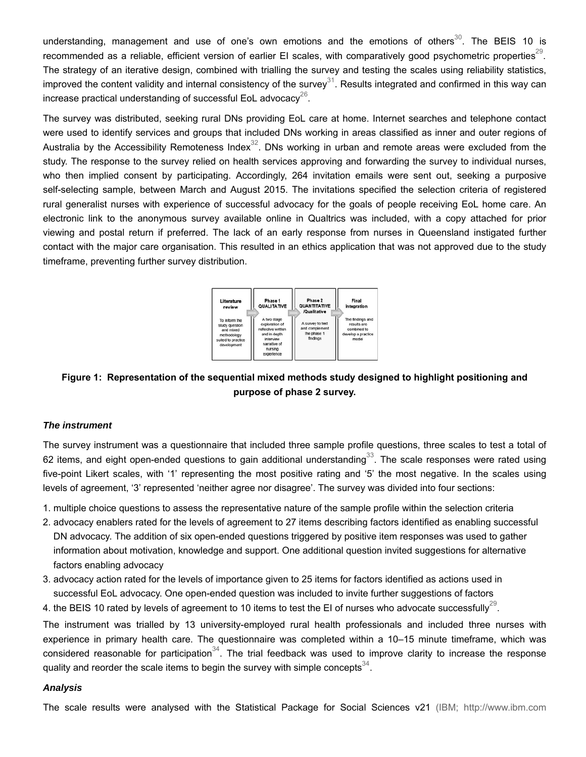understanding, management and use of one's own emotions and the emotions of others $^{\rm 30}$ . The BEIS 10 is recommended as a reliable, efficient version of earlier EI scales, with comparatively good psychometric properties $^{29}.$ The strategy of an iterative design, combined with trialling the survey and testing the scales using reliability statistics, improved the content validity and internal consistency of the survey $^{31}$ . Results integrated and confirmed in this way can increase practical understanding of successful EoL advocacy $^{26}\!.$ 

The survey was distributed, seeking rural DNs providing EoL care at home. Internet searches and telephone contact were used to identify services and groups that included DNs working in areas classified as inner and outer regions of Australia by the Accessibility Remoteness Index $^{32}$ . DNs working in urban and remote areas were excluded from the study. The response to the survey relied on health services approving and forwarding the survey to individual nurses, who then implied consent by participating. Accordingly, 264 invitation emails were sent out, seeking a purposive self-selecting sample, between March and August 2015. The invitations specified the selection criteria of registered rural generalist nurses with experience of successful advocacy for the goals of people receiving EoL home care. An electronic link to the anonymous survey available online in Qualtrics was included, with a copy attached for prior viewing and postal return if preferred. The lack of an early response from nurses in Queensland instigated further contact with the major care organisation. This resulted in an ethics application that was not approved due to the study timeframe, preventing further survey distribution.



## **Figure 1: Representation of the sequential mixed methods study designed to highlight positioning and purpose of phase 2 survey.**

## *The instrument*

The survey instrument was a questionnaire that included three sample profile questions, three scales to test a total of 62 items, and eight open-ended questions to gain additional understanding $^{\rm 33}$ . The scale responses were rated using five-point Likert scales, with '1' representing the most positive rating and '5' the most negative. In the scales using levels of agreement, '3' represented 'neither agree nor disagree'. The survey was divided into four sections:

- 1. multiple choice questions to assess the representative nature of the sample profile within the selection criteria
- 2. advocacy enablers rated for the levels of agreement to 27 items describing factors identified as enabling successful DN advocacy. The addition of six open-ended questions triggered by positive item responses was used to gather information about motivation, knowledge and support. One additional question invited suggestions for alternative factors enabling advocacy
- 3. advocacy action rated for the levels of importance given to 25 items for factors identified as actions used in successful EoL advocacy. One open-ended question was included to invite further suggestions of factors
- 4. the BEIS 10 rated by levels of agreement to 10 items to test the EI of nurses who advocate successfully $^{29}\!.$

The instrument was trialled by 13 university-employed rural health professionals and included three nurses with experience in primary health care. The questionnaire was completed within a 10–15 minute timeframe, which was considered reasonable for participation $^{34}$ . The trial feedback was used to improve clarity to increase the response quality and reorder the scale items to begin the survey with simple concepts $^{\rm 34}$ .

### *Analysis*

The scale results were analysed with the Statistical Package for Social Sciences v21 (IBM; http://www.ibm.com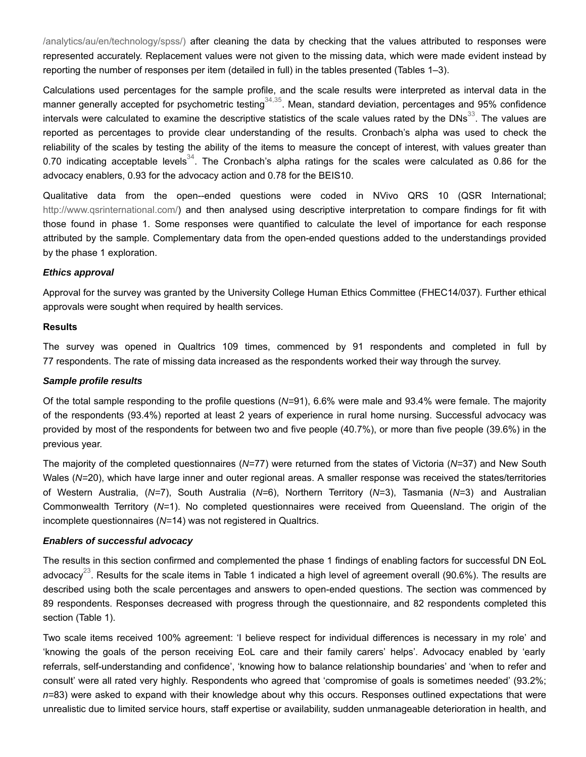/analytics/au/en/technology/spss/) after cleaning the data by checking that the values attributed to responses were represented accurately. Replacement values were not given to the missing data, which were made evident instead by reporting the number of responses per item (detailed in full) in the tables presented (Tables 1–3).

Calculations used percentages for the sample profile, and the scale results were interpreted as interval data in the manner generally accepted for psychometric testing $^{34,35}$ . Mean, standard deviation, percentages and 95% confidence intervals were calculated to examine the descriptive statistics of the scale values rated by the DNs $^{33}.$  The values are reported as percentages to provide clear understanding of the results. Cronbach's alpha was used to check the reliability of the scales by testing the ability of the items to measure the concept of interest, with values greater than 0.70 indicating acceptable levels $^{34}$ . The Cronbach's alpha ratings for the scales were calculated as 0.86 for the advocacy enablers, 0.93 for the advocacy action and 0.78 for the BEIS10.

Qualitative data from the open--ended questions were coded in NVivo QRS 10 (QSR International; http://www.qsrinternational.com/) and then analysed using descriptive interpretation to compare findings for fit with those found in phase 1. Some responses were quantified to calculate the level of importance for each response attributed by the sample. Complementary data from the open-ended questions added to the understandings provided by the phase 1 exploration.

### *Ethics approval*

Approval for the survey was granted by the University College Human Ethics Committee (FHEC14/037). Further ethical approvals were sought when required by health services.

### **Results**

The survey was opened in Qualtrics 109 times, commenced by 91 respondents and completed in full by 77 respondents. The rate of missing data increased as the respondents worked their way through the survey.

### *Sample profile results*

Of the total sample responding to the profile questions (*N=*91), 6.6% were male and 93.4% were female. The majority of the respondents (93.4%) reported at least 2 years of experience in rural home nursing. Successful advocacy was provided by most of the respondents for between two and five people (40.7%), or more than five people (39.6%) in the previous year.

The majority of the completed questionnaires (*N=*77) were returned from the states of Victoria (*N=*37) and New South Wales (*N=*20), which have large inner and outer regional areas. A smaller response was received the states/territories of Western Australia, (*N=*7), South Australia (*N=*6), Northern Territory (*N=*3), Tasmania (*N=*3) and Australian Commonwealth Territory (*N=*1). No completed questionnaires were received from Queensland. The origin of the incomplete questionnaires (*N=*14) was not registered in Qualtrics.

### *Enablers of successful advocacy*

The results in this section confirmed and complemented the phase 1 findings of enabling factors for successful DN EoL advocacy $^{23}$ . Results for the scale items in Table 1 indicated a high level of agreement overall (90.6%). The results are described using both the scale percentages and answers to open-ended questions. The section was commenced by 89 respondents. Responses decreased with progress through the questionnaire, and 82 respondents completed this section (Table 1).

Two scale items received 100% agreement: 'I believe respect for individual differences is necessary in my role' and 'knowing the goals of the person receiving EoL care and their family carers' helps'. Advocacy enabled by 'early referrals, self-understanding and confidence', 'knowing how to balance relationship boundaries' and 'when to refer and consult' were all rated very highly*.* Respondents who agreed that 'compromise of goals is sometimes needed' (93.2%; *n=*83) were asked to expand with their knowledge about why this occurs. Responses outlined expectations that were unrealistic due to limited service hours, staff expertise or availability, sudden unmanageable deterioration in health, and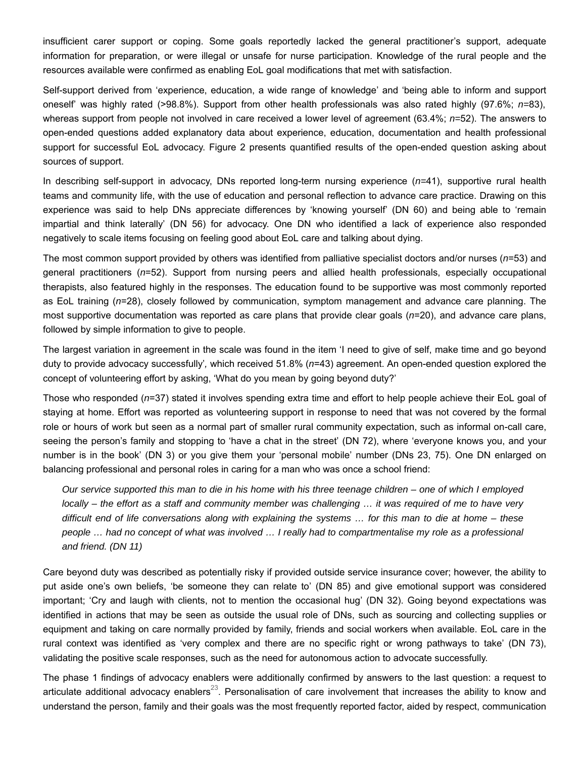insufficient carer support or coping. Some goals reportedly lacked the general practitioner's support, adequate information for preparation, or were illegal or unsafe for nurse participation. Knowledge of the rural people and the resources available were confirmed as enabling EoL goal modifications that met with satisfaction.

Self-support derived from 'experience, education, a wide range of knowledge' and 'being able to inform and support oneself' was highly rated (>98.8%). Support from other health professionals was also rated highly (97.6%; *n=*83), whereas support from people not involved in care received a lower level of agreement (63.4%; *n=*52). The answers to open-ended questions added explanatory data about experience, education, documentation and health professional support for successful EoL advocacy. Figure 2 presents quantified results of the open-ended question asking about sources of support.

In describing self-support in advocacy, DNs reported long-term nursing experience (*n=*41), supportive rural health teams and community life, with the use of education and personal reflection to advance care practice. Drawing on this experience was said to help DNs appreciate differences by 'knowing yourself' (DN 60) and being able to 'remain impartial and think laterally' (DN 56) for advocacy. One DN who identified a lack of experience also responded negatively to scale items focusing on feeling good about EoL care and talking about dying.

The most common support provided by others was identified from palliative specialist doctors and/or nurses (*n*=53) and general practitioners (*n*=52). Support from nursing peers and allied health professionals, especially occupational therapists, also featured highly in the responses. The education found to be supportive was most commonly reported as EoL training (*n*=28), closely followed by communication, symptom management and advance care planning. The most supportive documentation was reported as care plans that provide clear goals (*n*=20), and advance care plans, followed by simple information to give to people.

The largest variation in agreement in the scale was found in the item 'I need to give of self, make time and go beyond duty to provide advocacy successfully'*,* which received 51.8% (*n*=43) agreement. An open-ended question explored the concept of volunteering effort by asking, 'What do you mean by going beyond duty?'

Those who responded (*n*=37) stated it involves spending extra time and effort to help people achieve their EoL goal of staying at home. Effort was reported as volunteering support in response to need that was not covered by the formal role or hours of work but seen as a normal part of smaller rural community expectation, such as informal on-call care, seeing the person's family and stopping to 'have a chat in the street' (DN 72), where 'everyone knows you, and your number is in the book' (DN 3) or you give them your 'personal mobile' number (DNs 23, 75). One DN enlarged on balancing professional and personal roles in caring for a man who was once a school friend:

*Our service supported this man to die in his home with his three teenage children – one of which I employed locally – the effort as a staff and community member was challenging … it was required of me to have very difficult end of life conversations along with explaining the systems … for this man to die at home – these people … had no concept of what was involved … I really had to compartmentalise my role as a professional and friend. (DN 11)*

Care beyond duty was described as potentially risky if provided outside service insurance cover; however, the ability to put aside one's own beliefs, 'be someone they can relate to' (DN 85) and give emotional support was considered important; 'Cry and laugh with clients, not to mention the occasional hug' (DN 32). Going beyond expectations was identified in actions that may be seen as outside the usual role of DNs, such as sourcing and collecting supplies or equipment and taking on care normally provided by family, friends and social workers when available. EoL care in the rural context was identified as 'very complex and there are no specific right or wrong pathways to take' (DN 73), validating the positive scale responses, such as the need for autonomous action to advocate successfully.

The phase 1 findings of advocacy enablers were additionally confirmed by answers to the last question: a request to articulate additional advocacy enablers $^{23}$ . Personalisation of care involvement that increases the ability to know and understand the person, family and their goals was the most frequently reported factor, aided by respect, communication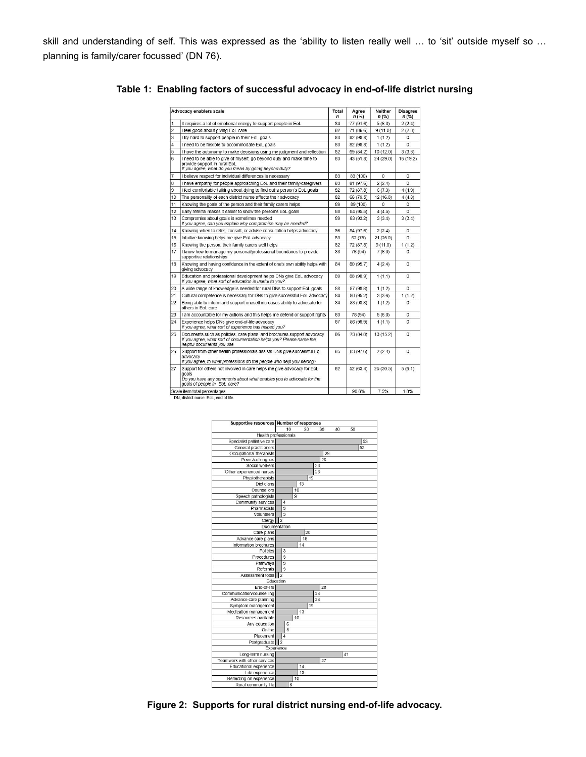skill and understanding of self. This was expressed as the 'ability to listen really well … to 'sit' outside myself so … planning is family/carer focussed' (DN 76).

|                | Advocacy enablers scale                                                                                                                                                                | Total<br>n | Agree<br>n(% ) | <b>Neither</b><br>$n$ (%) | <b>Disagree</b><br>n (%) |
|----------------|----------------------------------------------------------------------------------------------------------------------------------------------------------------------------------------|------------|----------------|---------------------------|--------------------------|
| 1              | It requires a lot of emotional energy to support people in EoL                                                                                                                         | 84         | 77 (91.6)      | 5(6.0)                    | 2(2.4)                   |
| $\overline{a}$ | I feel good about giving EoL care                                                                                                                                                      | 82         | 71 (86.6)      | 9(11.0)                   | 2(2.3)                   |
| 3              | I try hard to support people in their EoL goals                                                                                                                                        | 83         | 82 (98.8)      | 1(1.2)                    | $\Omega$                 |
| $\overline{4}$ | I need to be flexible to accommodate EoL goals                                                                                                                                         | 83         | 82 (98.8)      | 1(1.2)                    | $\Omega$                 |
| 5              | I have the autonomy to make decisions using my judgment and reflection                                                                                                                 | 82         | 69 (84.2)      | 10 (12.0)                 | 3(3.8)                   |
| 6              | I need to be able to give of myself, go beyond duty and make time to<br>provide support in rural EoL<br>If you agree, what do you mean by going beyond duty?                           | 83         | 43 (51.8)      | 24 (29.0)                 | 16 (19.2)                |
| 7              | I believe respect for individual differences is necessary                                                                                                                              | 83         | 83 (100)       | 0                         | $\Omega$                 |
| 8              | I have empathy for people approaching EoL and their family/caregivers                                                                                                                  | 83         | 81 (97.6)      | 2(2.4)                    | $\Omega$                 |
| 9              | I feel comfortable talking about dying to find out a person's EoL goals                                                                                                                | 82         | 72 (87.8)      | 6(7.3)                    | 4(4.9)                   |
| 10             | The personality of each district nurse affects their advocacy                                                                                                                          | 82         | 66 (79.5)      | 12 (16.0)                 | 4(4.8)                   |
| 11             | Knowing the goals of the person and their family carers helps                                                                                                                          | 89         | 89 (100)       | 0                         | $\mathbf 0$              |
| 12             | Early referral makes it easier to know the person's EoL goals                                                                                                                          | 88         | 84 (95.5)      | 4(4.5)                    | $\mathbf 0$              |
| 13             | Compromise about goals is sometimes needed<br>If you agree, can you explain why compromise may be needed?                                                                              | 89         | 83 (93.2)      | 3(3.4)                    | 3(3.4)                   |
| 14             | Knowing when to refer, consult, or advise consultation helps advocacy                                                                                                                  | 86         | 84 (97.6)      | 2(2.4)                    | $\Omega$                 |
| 15             | Intuitive knowing helps me give EoL advocacy                                                                                                                                           | 83         | 62(75)         | 21(25.0)                  | $\mathbf 0$              |
| 16             | Knowing the person, their family carers well helps                                                                                                                                     | 82         | 72 (87.8)      | 9(11.0)                   | 1(1.2)                   |
| 17             | I know how to manage my personal/professional boundaries to provide<br>supportive relationships                                                                                        | 83         | 76 (94)        | 7(6.0)                    | $\Omega$                 |
| 18             | Knowing and having confidence in the extent of one's own ability helps with<br>giving advocacy                                                                                         | 84         | 80 (95.7)      | 4(2.4)                    | $\Omega$                 |
| 19             | Education and professional development helps DNs give EoL advocacy<br>If you agree, what sort of education is useful to you?                                                           | 89         | 88 (98.9)      | 1(1.1)                    | $\mathbf 0$              |
| 20             | A wide range of knowledge is needed for rural DNs to support EoL goals                                                                                                                 | 88         | 87 (98.8)      | 1(1.2)                    | $\overline{0}$           |
| 21             | Cultural competence is necessary for DNs to give successful EoL advocacy                                                                                                               | 84         | 80 (95.2)      | 3(3.6)                    | 1(1.2)                   |
| 22             | Being able to inform and support oneself increases ability to advocate for<br>others in EoL care                                                                                       | 84         | 83 (98.8)      | 1(1.2)                    | $\mathbf 0$              |
| 23             | I am accountable for my actions and this helps me defend or support rights                                                                                                             | 83         | 78 (94)        | 5(6.0)                    | $\Omega$                 |
| 24             | Experience helps DNs give end-of-life advocacy<br>If you agree, what sort of experience has helped you?                                                                                | 87         | 86 (98.9)      | 1(1.1)                    | $\Omega$                 |
| 25             | Documents such as policies, care plans, and brochures support advocacy<br>If you agree, what sort of documentation helps you? Please name the<br>helpful documents you use             | 86         | 73 (84.8)      | 13 (15.2)                 | $\Omega$                 |
| 26             | Support from other health professionals assists DNs give successful EoL<br>advocacy<br>If you agree, to what professions do the people who help you belong?                            | 85         | 83 (97.6)      | 2(2.4)                    | $\Omega$                 |
| 27             | Support for others not involved in care helps me give advocacy for EoL<br>goals<br>Do you have any comments about what enables you to advocate for the<br>goals of people in EoL care? | 82         | 52(63.4)       | 25(30.5)                  | 5(6.1)                   |
|                | Scale item total percentages                                                                                                                                                           |            | 90.6%          | 7.5%                      | 1.8%                     |

**Table 1: Enabling factors of successful advocacy in end-of-life district nursing**

Supportive resources Number of responses  $10$ 30  $\overline{50}$ 20 Health professionals Specialist palliative care  $|53|$ General practitioners  $|52|$ Occupational therapists  $\sqrt{29}$ Peers/colleagues 28 Social workers 23 Other experienced nurses  $\overline{23}$ Physiotherapists 119 Dieticians  $13$ Counsellors Speech pathologists<br>Community services ١q Pharmacists Volunteers Clergy 2 Docum<br>Care plans **tatio**  $\frac{1}{20}$ Advance care plans  $|18$ Information brochures  $\frac{1}{14}$ Procedures Pathways Referrals Assessment tools 2 Education End-of-life  $\overline{28}$ Communication/counselling 24 Advance care planning 24 Symptom management ∥ 19 Medication management<br>Resources available  $|13$ Any education Online Placement  $|4$ Postgraduate 2 Expe  $|41$ Long-term nursing Teamwork with other services<br>Educational experience  $|27|$  $\overline{14}$ Life experience<br>Reflecting on experience 13 Rural community life  $|8$ 

**Figure 2: Supports for rural district nursing end-of-life advocacy.**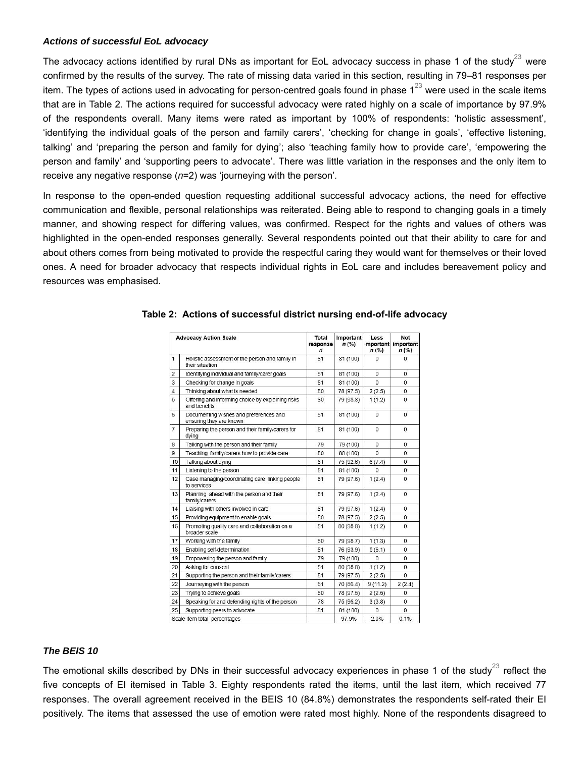## *Actions of successful EoL advocacy*

The advocacy actions identified by rural DNs as important for EoL advocacy success in phase 1 of the study $^{23}$  were confirmed by the results of the survey. The rate of missing data varied in this section, resulting in 79–81 responses per item. The types of actions used in advocating for person-centred goals found in phase 1 $^{23}$  were used in the scale items that are in Table 2. The actions required for successful advocacy were rated highly on a scale of importance by 97.9% of the respondents overall. Many items were rated as important by 100% of respondents: 'holistic assessment', 'identifying the individual goals of the person and family carers', 'checking for change in goals', 'effective listening, talking' and 'preparing the person and family for dying'; also 'teaching family how to provide care', 'empowering the person and family' and 'supporting peers to advocate'. There was little variation in the responses and the only item to receive any negative response (*n*=2) was 'journeying with the person'*.*

In response to the open-ended question requesting additional successful advocacy actions, the need for effective communication and flexible, personal relationships was reiterated. Being able to respond to changing goals in a timely manner, and showing respect for differing values, was confirmed. Respect for the rights and values of others was highlighted in the open-ended responses generally. Several respondents pointed out that their ability to care for and about others comes from being motivated to provide the respectful caring they would want for themselves or their loved ones. A need for broader advocacy that respects individual rights in EoL care and includes bereavement policy and resources was emphasised.

|                | <b>Advocacy Action Scale</b>                                       | Total<br>response<br>$\mathbf n$ | Important<br>n(%) | Less<br><b>important</b><br>$n$ (%) | Not<br><b>important</b><br>$n$ (%) |
|----------------|--------------------------------------------------------------------|----------------------------------|-------------------|-------------------------------------|------------------------------------|
| 1              | Holistic assessment of the person and family in<br>their situation | 81                               | 81 (100)          | 0                                   | $\Omega$                           |
| $\overline{2}$ | Identifying individual and family/carer goals                      | 81                               | 81 (100)          | $\Omega$                            | $\Omega$                           |
| 3              | Checking for change in goals                                       | 81                               | 81 (100)          | $\Omega$                            | $\Omega$                           |
| 4              | Thinking about what is needed                                      | 80                               | 78 (97.5)         | 2(2.5)                              | $\Omega$                           |
| 5              | Offering and informing choice by explaining risks<br>and benefits  | 80                               | 79 (98.8)         | 1(1.2)                              | $\Omega$                           |
| 6              | Documenting wishes and preferences and<br>ensuring they are known  | 81                               | 81 (100)          | $\Omega$                            | 0                                  |
| 7              | Preparing the person and their family/carers for<br>dying          | 81                               | 81 (100)          | $\Omega$                            | $\Omega$                           |
| 8              | Talking with the person and their family                           | 79                               | 79 (100)          | $\Omega$                            | $\Omega$                           |
| 9              | Teaching family/carers how to provide care                         | 80                               | 80 (100)          | $\Omega$                            | $\Omega$                           |
| 10             | Talking about dying                                                | 81                               | 75 (92.6)         | 6(7.4)                              | $\Omega$                           |
| 11             | Listening to the person                                            | 81                               | 81 (100)          | U                                   | 0                                  |
| 12             | Case managing/coordinating care, linking people<br>to services     | 81                               | 79 (97.6)         | 1(2.4)                              | $\mathbf 0$                        |
| 13             | Planning ahead with the person and their<br>family/carers          | 81                               | 79 (97.6)         | 1(2.4)                              | $\Omega$                           |
| 14             | Liaising with others involved in care                              | 81                               | 79 (97.6)         | 1(2.4)                              | $\Omega$                           |
| 15             | Providing equipment to enable goals                                | 80                               | 78 (97.5)         | 2(2.5)                              | 0                                  |
| 16             | Promoting quality care and collaboration on a<br>broader scale     | 81                               | 80 (98.8)         | 1(1.2)                              | $\Omega$                           |
| 17             | Working with the family                                            | 80                               | 79 (98.7)         | 1(1.3)                              | $\Omega$                           |
| 18             | Enabling self-determination                                        | 81                               | 76 (93.9)         | 5(6.1)                              | 0                                  |
| 19             | Empowering the person and family                                   | 79                               | 79 (100)          | $\Omega$                            | 0                                  |
| 20             | Asking for consent                                                 | 81                               | 80 (98.8)         | 1(1.2)                              | $\Omega$                           |
| 21             | Supporting the person and their family/carers                      | 81                               | 79 (97.5)         | 2(2.5)                              | $\Omega$                           |
| 22             | Journeying with the person                                         | 81                               | 70 (86.4)         | 9(11.2)                             | 2(2.4)                             |
| 23             | Trying to achieve goals                                            | 80                               | 78 (97.5)         | 2(2.5)                              | 0                                  |
| 24             | Speaking for and defending rights of the person                    | 78                               | 75 (96.2)         | 3(3.8)                              | $\Omega$                           |
| 25             | Supporting peers to advocate                                       | 81                               | 81 (100)          | 0                                   | $\mathbf 0$                        |
|                | Scale item total percentages                                       |                                  | 97.9%             | 2.0%                                | 0.1%                               |

|  |  |  |  |  |  |  | Table 2: Actions of successful district nursing end-of-life advocacy |  |
|--|--|--|--|--|--|--|----------------------------------------------------------------------|--|
|--|--|--|--|--|--|--|----------------------------------------------------------------------|--|

#### *The BEIS 10*

The emotional skills described by DNs in their successful advocacy experiences in phase 1 of the study $^{23}$  reflect the five concepts of EI itemised in Table 3. Eighty respondents rated the items, until the last item, which received 77 responses. The overall agreement received in the BEIS 10 (84.8%) demonstrates the respondents self-rated their EI positively. The items that assessed the use of emotion were rated most highly. None of the respondents disagreed to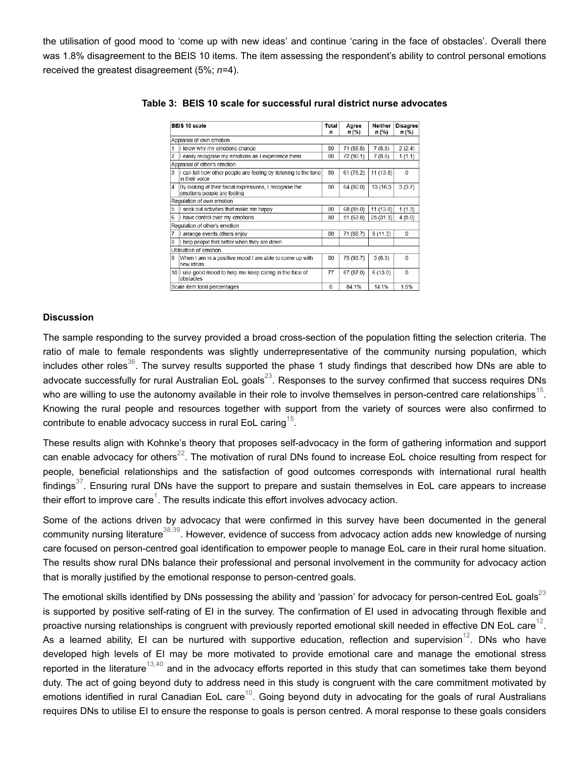the utilisation of good mood to 'come up with new ideas' and continue 'caring in the face of obstacles'. Overall there was 1.8% disagreement to the BEIS 10 items. The item assessing the respondent's ability to control personal emotions received the greatest disagreement (5%; *n*=4).

|                | BEIS 10 scale                                                                          | Total<br>n | Agree<br>$n$ (%) | <b>Neither</b><br>$n$ (%) | <b>Disagree</b><br>$n$ (%) |
|----------------|----------------------------------------------------------------------------------------|------------|------------------|---------------------------|----------------------------|
|                | Appraisal of own emotion                                                               |            |                  |                           |                            |
|                | know why my emotions change                                                            | 80         | 71 (88.8)        | 7(8.8)                    | 2(2.4)                     |
|                | easily recognise my emotions as I experience them                                      | 80         | 72 (90.1)        | 7(8.8)                    | 1(1.1)                     |
|                | Appraisal of other's emotion                                                           |            |                  |                           |                            |
| 3              | I can tell how other people are feeling by listening to the tone<br>in their voice     | 80         | 61(76.2)         | 11(13.8)                  | $\mathbf{0}$               |
| $\overline{4}$ | By looking at their facial expressions, I recognise the<br>emotions people are feeling | 80         | 64 (80.0)        | 13 (16.3)                 | 3(3.7)                     |
|                | Regulation of own emotion                                                              |            |                  |                           |                            |
| 5              | seek out activities that make me happy                                                 | 80         | 68 (85.0)        | 11(13.8)                  | 1(1.3)                     |
| 6              | I have control over my emotions                                                        | 80         | 51(63.8)         | 25(31.3)                  | 4(5.0)                     |
|                | Regulation of other's emotion                                                          |            |                  |                           |                            |
|                | arrange events others enjoy                                                            | 80         | 71 (88.7)        | 9(11.3)                   | $\mathbf 0$                |
| 8              | I help people feel better when they are down                                           |            |                  |                           |                            |
|                | Utilisation of emotion                                                                 |            |                  |                           |                            |
| 9              | When I am in a positive mood I am able to come up with<br>new ideas                    | 80         | 75 (93.7)        | 5(6.3)                    | $\Omega$                   |
|                | 10 I use good mood to help me keep caring in the face of<br>obstacles                  | 77         | 67 (87.0)        | 6(13.0)                   | $\Omega$                   |
|                | Scale item total percentages                                                           | $\Omega$   | 84.1%            | 14.1%                     | 1.8%                       |

**Table 3: BEIS 10 scale for successful rural district nurse advocates**

### **Discussion**

The sample responding to the survey provided a broad cross-section of the population fitting the selection criteria. The ratio of male to female respondents was slightly underrepresentative of the community nursing population, which includes other roles $^{36}$ . The survey results supported the phase 1 study findings that described how DNs are able to advocate successfully for rural Australian EoL goals $^{23}$ . Responses to the survey confirmed that success requires DNs who are willing to use the autonomy available in their role to involve themselves in person-centred care relationships $^{\rm 15}$ . Knowing the rural people and resources together with support from the variety of sources were also confirmed to contribute to enable advocacy success in rural EoL caring $^{\rm 15}.$ 

These results align with Kohnke's theory that proposes self-advocacy in the form of gathering information and support can enable advocacy for others $^{22}$ . The motivation of rural DNs found to increase EoL choice resulting from respect for people, beneficial relationships and the satisfaction of good outcomes corresponds with international rural health findings $^{37}$ . Ensuring rural DNs have the support to prepare and sustain themselves in EoL care appears to increase their effort to improve care $^{\rm 1}$ . The results indicate this effort involves advocacy action.

Some of the actions driven by advocacy that were confirmed in this survey have been documented in the general community nursing literature $^{38,39}$ . However, evidence of success from advocacy action adds new knowledge of nursing care focused on person-centred goal identification to empower people to manage EoL care in their rural home situation. The results show rural DNs balance their professional and personal involvement in the community for advocacy action that is morally justified by the emotional response to person-centred goals.

The emotional skills identified by DNs possessing the ability and 'passion' for advocacy for person-centred EoL goals $^{23}$ is supported by positive self-rating of EI in the survey. The confirmation of EI used in advocating through flexible and proactive nursing relationships is congruent with previously reported emotional skill needed in effective DN EoL care $^{12}.$ As a learned ability, EI can be nurtured with supportive education, reflection and supervision $^{12}$ . DNs who have developed high levels of EI may be more motivated to provide emotional care and manage the emotional stress reported in the literature $^{13,40}$  and in the advocacy efforts reported in this study that can sometimes take them beyond duty. The act of going beyond duty to address need in this study is congruent with the care commitment motivated by emotions identified in rural Canadian EoL care $^{10}$ . Going beyond duty in advocating for the goals of rural Australians requires DNs to utilise EI to ensure the response to goals is person centred. A moral response to these goals considers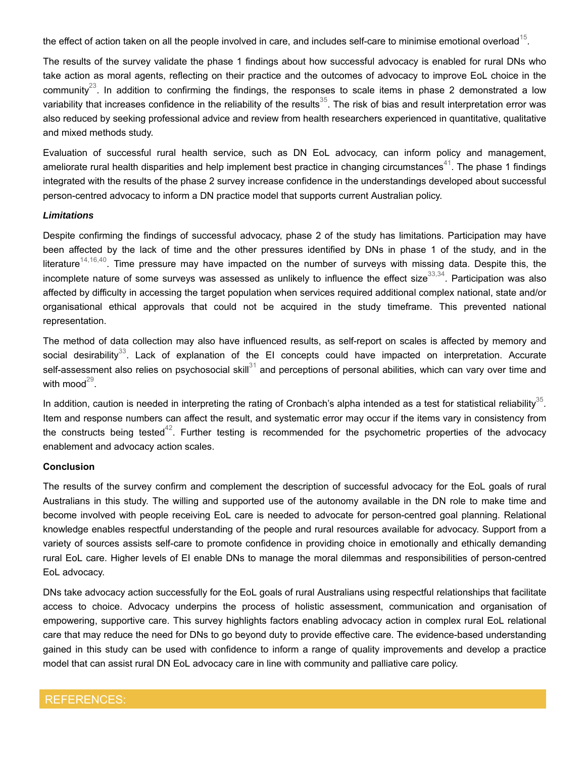the effect of action taken on all the people involved in care, and includes self-care to minimise emotional overload $^{\rm 15}$ .

The results of the survey validate the phase 1 findings about how successful advocacy is enabled for rural DNs who take action as moral agents, reflecting on their practice and the outcomes of advocacy to improve EoL choice in the community $^{23}$ . In addition to confirming the findings, the responses to scale items in phase 2 demonstrated a low variability that increases confidence in the reliability of the results $^{35}$ . The risk of bias and result interpretation error was also reduced by seeking professional advice and review from health researchers experienced in quantitative, qualitative and mixed methods study.

Evaluation of successful rural health service, such as DN EoL advocacy, can inform policy and management, ameliorate rural health disparities and help implement best practice in changing circumstances $^{41}$ . The phase 1 findings integrated with the results of the phase 2 survey increase confidence in the understandings developed about successful person-centred advocacy to inform a DN practice model that supports current Australian policy.

### *Limitations*

Despite confirming the findings of successful advocacy, phase 2 of the study has limitations. Participation may have been affected by the lack of time and the other pressures identified by DNs in phase 1 of the study, and in the literature $^{14,16,40}$ . Time pressure may have impacted on the number of surveys with missing data. Despite this, the incomplete nature of some surveys was assessed as unlikely to influence the effect size $^{33,34}.$  Participation was also affected by difficulty in accessing the target population when services required additional complex national, state and/or organisational ethical approvals that could not be acquired in the study timeframe. This prevented national representation.

The method of data collection may also have influenced results, as self-report on scales is affected by memory and social desirability $^{33}$ . Lack of explanation of the EI concepts could have impacted on interpretation. Accurate self-assessment also relies on psychosocial skill $^{31}$  and perceptions of personal abilities, which can vary over time and with mood $^{29}$ .

In addition, caution is needed in interpreting the rating of Cronbach's alpha intended as a test for statistical reliability $^{35}.$ Item and response numbers can affect the result, and systematic error may occur if the items vary in consistency from the constructs being tested $^{42}$ . Further testing is recommended for the psychometric properties of the advocacy enablement and advocacy action scales.

## **Conclusion**

The results of the survey confirm and complement the description of successful advocacy for the EoL goals of rural Australians in this study. The willing and supported use of the autonomy available in the DN role to make time and become involved with people receiving EoL care is needed to advocate for person-centred goal planning. Relational knowledge enables respectful understanding of the people and rural resources available for advocacy. Support from a variety of sources assists self-care to promote confidence in providing choice in emotionally and ethically demanding rural EoL care. Higher levels of EI enable DNs to manage the moral dilemmas and responsibilities of person-centred EoL advocacy.

DNs take advocacy action successfully for the EoL goals of rural Australians using respectful relationships that facilitate access to choice. Advocacy underpins the process of holistic assessment, communication and organisation of empowering, supportive care. This survey highlights factors enabling advocacy action in complex rural EoL relational care that may reduce the need for DNs to go beyond duty to provide effective care. The evidence-based understanding gained in this study can be used with confidence to inform a range of quality improvements and develop a practice model that can assist rural DN EoL advocacy care in line with community and palliative care policy.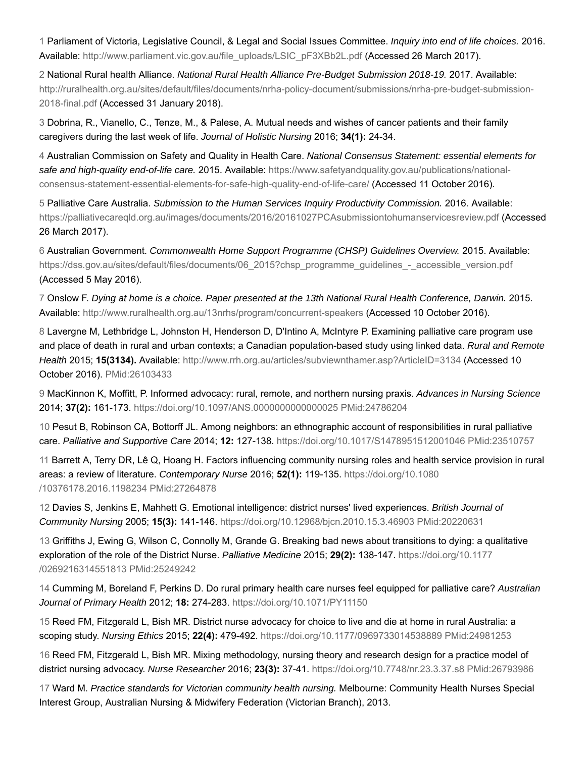1 Parliament of Victoria, Legislative Council, & Legal and Social Issues Committee. *Inquiry into end of life choices.* 2016. Available: http://www.parliament.vic.gov.au/file\_uploads/LSIC\_pF3XBb2L.pdf (Accessed 26 March 2017).

2 National Rural health Alliance. *National Rural Health Alliance Pre-Budget Submission 2018-19.* 2017. Available: http://ruralhealth.org.au/sites/default/files/documents/nrha-policy-document/submissions/nrha-pre-budget-submission-2018-final.pdf (Accessed 31 January 2018).

3 Dobrina, R., Vianello, C., Tenze, M., & Palese, A. Mutual needs and wishes of cancer patients and their family caregivers during the last week of life. *Journal of Holistic Nursing* 2016; **34(1):** 24-34.

4 Australian Commission on Safety and Quality in Health Care. *National Consensus Statement: essential elements for safe and high-quality end-of-life care.* 2015. Available: https://www.safetyandquality.gov.au/publications/nationalconsensus-statement-essential-elements-for-safe-high-quality-end-of-life-care/ (Accessed 11 October 2016).

5 Palliative Care Australia. *Submission to the Human Services Inquiry Productivity Commission.* 2016. Available: https://palliativecareqld.org.au/images/documents/2016/20161027PCAsubmissiontohumanservicesreview.pdf (Accessed 26 March 2017).

6 Australian Government. *Commonwealth Home Support Programme (CHSP) Guidelines Overview.* 2015. Available: https://dss.gov.au/sites/default/files/documents/06 2015?chsp\_programme\_guidelines\_-\_accessible\_version.pdf (Accessed 5 May 2016).

7 Onslow F. *Dying at home is a choice. Paper presented at the 13th National Rural Health Conference, Darwin.* 2015. Available: http://www.ruralhealth.org.au/13nrhs/program/concurrent-speakers (Accessed 10 October 2016).

8 Lavergne M, Lethbridge L, Johnston H, Henderson D, D'Intino A, McIntyre P. Examining palliative care program use and place of death in rural and urban contexts; a Canadian population-based study using linked data. *Rural and Remote Health* 2015; **15(3134).** Available: http://www.rrh.org.au/articles/subviewnthamer.asp?ArticleID=3134 (Accessed 10 October 2016). PMid:26103433

9 MacKinnon K, Moffitt, P. Informed advocacy: rural, remote, and northern nursing praxis. *Advances in Nursing Science* 2014; **37(2):** 161-173. https://doi.org/10.1097/ANS.0000000000000025 PMid:24786204

10 Pesut B, Robinson CA, Bottorff JL. Among neighbors: an ethnographic account of responsibilities in rural palliative care. *Palliative and Supportive Care* 2014; **12:** 127-138. https://doi.org/10.1017/S1478951512001046 PMid:23510757

11 Barrett A, Terry DR, Lê Q, Hoang H. Factors influencing community nursing roles and health service provision in rural areas: a review of literature. *Contemporary Nurse* 2016; **52(1):** 119-135. https://doi.org/10.1080 /10376178.2016.1198234 PMid:27264878

12 Davies S, Jenkins E, Mahhett G. Emotional intelligence: district nurses' lived experiences. *British Journal of Community Nursing* 2005; **15(3):** 141-146. https://doi.org/10.12968/bjcn.2010.15.3.46903 PMid:20220631

13 Griffiths J, Ewing G, Wilson C, Connolly M, Grande G. Breaking bad news about transitions to dying: a qualitative exploration of the role of the District Nurse. *Palliative Medicine* 2015; **29(2):** 138-147. https://doi.org/10.1177 /0269216314551813 PMid:25249242

14 Cumming M, Boreland F, Perkins D. Do rural primary health care nurses feel equipped for palliative care? *Australian Journal of Primary Health* 2012; **18:** 274-283. https://doi.org/10.1071/PY11150

15 Reed FM, Fitzgerald L, Bish MR. District nurse advocacy for choice to live and die at home in rural Australia: a scoping study. *Nursing Ethics* 2015; **22(4):** 479-492. https://doi.org/10.1177/0969733014538889 PMid:24981253

16 Reed FM, Fitzgerald L, Bish MR. Mixing methodology, nursing theory and research design for a practice model of district nursing advocacy. *Nurse Researcher* 2016; **23(3):** 37-41. https://doi.org/10.7748/nr.23.3.37.s8 PMid:26793986

17 Ward M. *Practice standards for Victorian community health nursing.* Melbourne: Community Health Nurses Special Interest Group, Australian Nursing & Midwifery Federation (Victorian Branch), 2013.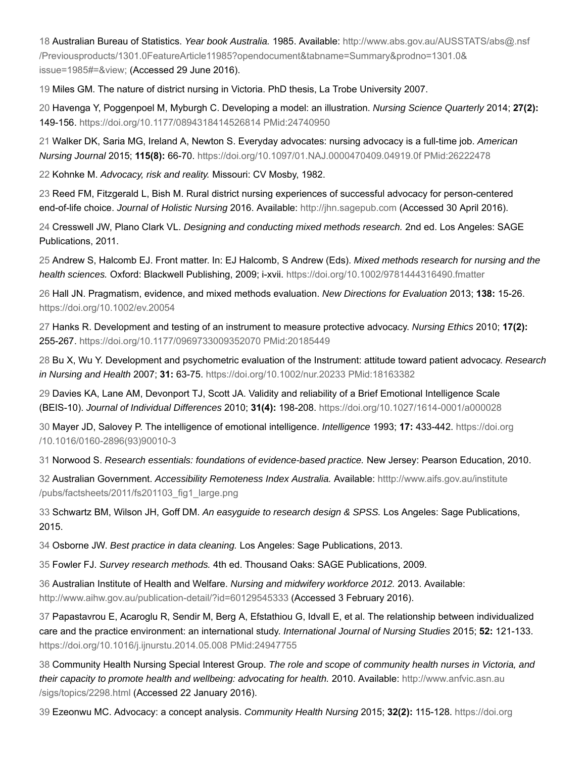18 Australian Bureau of Statistics. *Year book Australia.* 1985. Available: http://www.abs.gov.au/AUSSTATS/abs@.nsf /Previousproducts/1301.0FeatureArticle11985?opendocument&tabname=Summary&prodno=1301.0& issue=1985#=&view; (Accessed 29 June 2016).

19 Miles GM. The nature of district nursing in Victoria. PhD thesis, La Trobe University 2007.

20 Havenga Y, Poggenpoel M, Myburgh C. Developing a model: an illustration. *Nursing Science Quarterly* 2014; **27(2):** 149-156. https://doi.org/10.1177/0894318414526814 PMid:24740950

21 Walker DK, Saria MG, Ireland A, Newton S. Everyday advocates: nursing advocacy is a full-time job. *American Nursing Journal* 2015; **115(8):** 66-70. https://doi.org/10.1097/01.NAJ.0000470409.04919.0f PMid:26222478

22 Kohnke M. *Advocacy, risk and reality.* Missouri: CV Mosby, 1982.

23 Reed FM, Fitzgerald L, Bish M. Rural district nursing experiences of successful advocacy for person-centered end-of-life choice. *Journal of Holistic Nursing* 2016. Available: http://jhn.sagepub.com (Accessed 30 April 2016).

24 Cresswell JW, Plano Clark VL. *Designing and conducting mixed methods research.* 2nd ed. Los Angeles: SAGE Publications, 2011.

25 Andrew S, Halcomb EJ. Front matter. In: EJ Halcomb, S Andrew (Eds). *Mixed methods research for nursing and the health sciences.* Oxford: Blackwell Publishing, 2009; i-xvii. https://doi.org/10.1002/9781444316490.fmatter

26 Hall JN. Pragmatism, evidence, and mixed methods evaluation. *New Directions for Evaluation* 2013; **138:** 15-26. https://doi.org/10.1002/ev.20054

27 Hanks R. Development and testing of an instrument to measure protective advocacy. *Nursing Ethics* 2010; **17(2):** 255-267. https://doi.org/10.1177/0969733009352070 PMid:20185449

28 Bu X, Wu Y. Development and psychometric evaluation of the Instrument: attitude toward patient advocacy. *Research in Nursing and Health* 2007; **31:** 63-75. https://doi.org/10.1002/nur.20233 PMid:18163382

29 Davies KA, Lane AM, Devonport TJ, Scott JA. Validity and reliability of a Brief Emotional Intelligence Scale (BEIS-10). *Journal of Individual Differences* 2010; **31(4):** 198-208. https://doi.org/10.1027/1614-0001/a000028

30 Mayer JD, Salovey P. The intelligence of emotional intelligence. *Intelligence* 1993; **17:** 433-442. https://doi.org /10.1016/0160-2896(93)90010-3

31 Norwood S. *Research essentials: foundations of evidence-based practice.* New Jersey: Pearson Education, 2010.

32 Australian Government. *Accessibility Remoteness Index Australia.* Available: htttp://www.aifs.gov.au/institute /pubs/factsheets/2011/fs201103\_fig1\_large.png

33 Schwartz BM, Wilson JH, Goff DM. *An easyguide to research design & SPSS.* Los Angeles: Sage Publications, 2015.

34 Osborne JW. *Best practice in data cleaning.* Los Angeles: Sage Publications, 2013.

35 Fowler FJ. *Survey research methods.* 4th ed. Thousand Oaks: SAGE Publications, 2009.

36 Australian Institute of Health and Welfare. *Nursing and midwifery workforce 2012.* 2013. Available: http://www.aihw.gov.au/publication-detail/?id=60129545333 (Accessed 3 February 2016).

37 Papastavrou E, Acaroglu R, Sendir M, Berg A, Efstathiou G, Idvall E, et al. The relationship between individualized care and the practice environment: an international study. *International Journal of Nursing Studies* 2015; **52:** 121-133. https://doi.org/10.1016/j.ijnurstu.2014.05.008 PMid:24947755

38 Community Health Nursing Special Interest Group. *The role and scope of community health nurses in Victoria, and their capacity to promote health and wellbeing: advocating for health.* 2010. Available: http://www.anfvic.asn.au /sigs/topics/2298.html (Accessed 22 January 2016).

39 Ezeonwu MC. Advocacy: a concept analysis. *Community Health Nursing* 2015; **32(2):** 115-128. https://doi.org